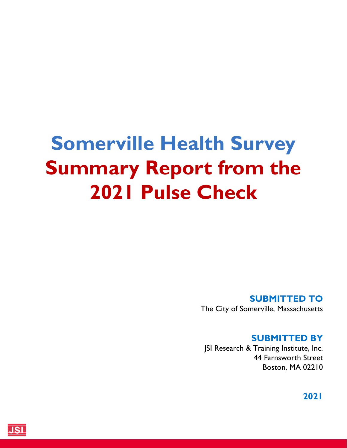# **Somerville Health Survey Summary Report from the 2021 Pulse Check**

#### **SUBMITTED TO**

The City of Somerville, Massachusetts

### **SUBMITTED BY**

JSI Research & Training Institute, Inc. 44 Farnsworth Street Boston, MA 02210

**2021**

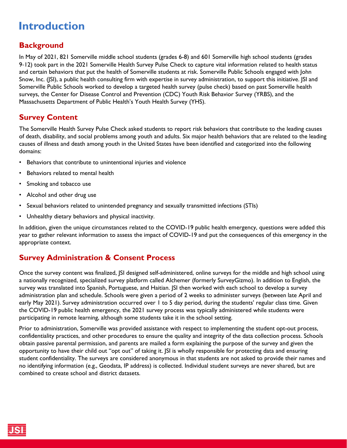### **Introduction**

#### **Background**

In May of 2021, 821 Somerville middle school students (grades 6-8) and 601 Somerville high school students (grades 9‐12) took part in the 2021 Somerville Health Survey Pulse Check to capture vital information related to health status and certain behaviors that put the health of Somerville students at risk. Somerville Public Schools engaged with John Snow, Inc. (JSI), a public health consulting firm with expertise in survey administration, to support this initiative. JSI and Somerville Public Schools worked to develop a targeted health survey (pulse check) based on past Somerville health surveys, the Center for Disease Control and Prevention (CDC) Youth Risk Behavior Survey (YRBS), and the Massachusetts Department of Public Health's Youth Health Survey (YHS).

#### **Survey Content**

The Somerville Health Survey Pulse Check asked students to report risk behaviors that contribute to the leading causes of death, disability, and social problems among youth and adults. Six major health behaviors that are related to the leading causes of illness and death among youth in the United States have been identified and categorized into the following domains:

- Behaviors that contribute to unintentional injuries and violence
- Behaviors related to mental health
- Smoking and tobacco use
- Alcohol and other drug use
- Sexual behaviors related to unintended pregnancy and sexually transmitted infections (STIs)
- Unhealthy dietary behaviors and physical inactivity.

In addition, given the unique circumstances related to the COVID-19 public health emergency, questions were added this year to gather relevant information to assess the impact of COVID-19 and put the consequences of this emergency in the appropriate context.

#### **Survey Administration & Consent Process**

Once the survey content was finalized, JSI designed self-administered, online surveys for the middle and high school using a nationally recognized, specialized survey platform called Alchemer (formerly SurveyGizmo). In addition to English, the survey was translated into Spanish, Portuguese, and Haitian. JSI then worked with each school to develop a survey administration plan and schedule. Schools were given a period of 2 weeks to administer surveys (between late April and early May 2021). Survey administration occurred over 1 to 5 day period, during the students' regular class time. Given the COVID-19 public health emergency, the 2021 survey process was typically administered while students were participating in remote learning, although some students take it in the school setting.

Prior to administration, Somerville was provided assistance with respect to implementing the student opt-out process, confidentiality practices, and other procedures to ensure the quality and integrity of the data collection process. Schools obtain passive parental permission, and parents are mailed a form explaining the purpose of the survey and given the opportunity to have their child out "opt out" of taking it. JSI is wholly responsible for protecting data and ensuring student confidentiality. The surveys are considered anonymous in that students are not asked to provide their names and no identifying information (e.g., Geodata, IP address) is collected. Individual student surveys are never shared, but are combined to create school and district datasets.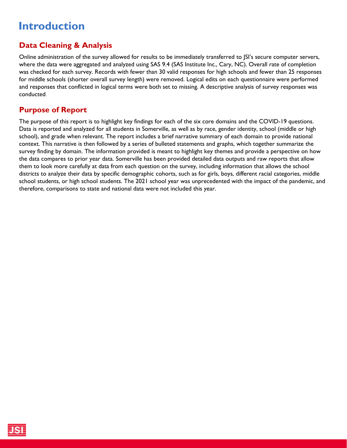### **Introduction**

### **Data Cleaning & Analysis**

Online administration of the survey allowed for results to be immediately transferred to JSI's secure computer servers, where the data were aggregated and analyzed using SAS 9.4 (SAS Institute Inc., Cary, NC). Overall rate of completion was checked for each survey. Records with fewer than 30 valid responses for high schools and fewer than 25 responses for middle schools (shorter overall survey length) were removed. Logical edits on each questionnaire were performed and responses that conflicted in logical terms were both set to missing. A descriptive analysis of survey responses was conducted.

#### **Purpose of Report**

The purpose of this report is to highlight key findings for each of the six core domains and the COVID-19 questions. Data is reported and analyzed for all students in Somerville, as well as by race, gender identity, school (middle or high school), and grade when relevant. The report includes a brief narrative summary of each domain to provide national context. This narrative is then followed by a series of bulleted statements and graphs, which together summarize the survey finding by domain. The information provided is meant to highlight key themes and provide a perspective on how the data compares to prior year data. Somerville has been provided detailed data outputs and raw reports that allow them to look more carefully at data from each question on the survey, including information that allows the school districts to analyze their data by specific demographic cohorts, such as for girls, boys, different racial categories, middle school students, or high school students. The 2021 school year was unprecedented with the impact of the pandemic, and therefore, comparisons to state and national data were not included this year.

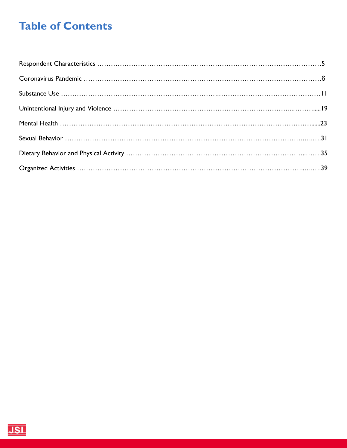## **Table of Contents**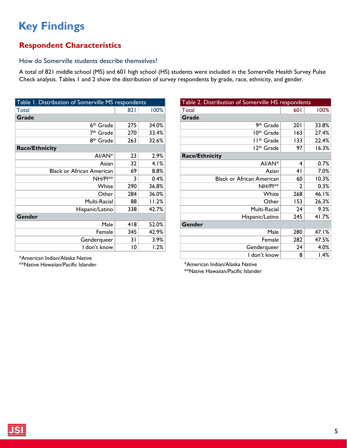### <span id="page-4-0"></span>**Respondent Characteristics**

#### How do Somerville students describe themselves?

A total of 821 middle school (MS) and 601 high school (HS) students were included in the Somerville Health Survey Pulse Check analysis. Tables 1 and 2 show the distribution of survey respondents by grade, race, ethnicity, and gender.

| Table 1. Distribution of Somerville MS respondents |     |       |  |  |  |  |
|----------------------------------------------------|-----|-------|--|--|--|--|
| Total                                              | 821 | 100%  |  |  |  |  |
| Grade                                              |     |       |  |  |  |  |
| 6 <sup>th</sup> Grade                              | 275 | 34.0% |  |  |  |  |
| 7 <sup>th</sup> Grade                              | 270 | 33.4% |  |  |  |  |
| 8 <sup>th</sup> Grade                              | 263 | 32.6% |  |  |  |  |
| <b>Race/Ethnicity</b>                              |     |       |  |  |  |  |
| AI/AN*                                             | 23  | 2.9%  |  |  |  |  |
| Asian                                              | 32  | 4.1%  |  |  |  |  |
| <b>Black or African American</b>                   | 69  | 8.8%  |  |  |  |  |
| NH/PI**                                            | 3   | 0.4%  |  |  |  |  |
| White                                              | 290 | 36.8% |  |  |  |  |
| Other                                              | 284 | 36.0% |  |  |  |  |
| Multi-Racial                                       | 88  | 11.2% |  |  |  |  |
| Hispanic/Latino                                    | 338 | 42.7% |  |  |  |  |
| Gender                                             |     |       |  |  |  |  |
| Male                                               | 418 | 52.0% |  |  |  |  |
| Female                                             | 345 | 42.9% |  |  |  |  |
| Genderqueer                                        | 31  | 3.9%  |  |  |  |  |
| I don't know                                       | 10  | 1.2%  |  |  |  |  |

| Table 2. Distribution of Somerville HS respondents |              |       |  |  |  |  |  |
|----------------------------------------------------|--------------|-------|--|--|--|--|--|
| Total                                              | 601          | 100%  |  |  |  |  |  |
| Grade                                              |              |       |  |  |  |  |  |
| 9th Grade                                          | <b>201</b>   | 33.8% |  |  |  |  |  |
| 10 <sup>th</sup> Grade                             | 163          | 27.4% |  |  |  |  |  |
| I I <sup>th</sup> Grade                            | 133          | 22.4% |  |  |  |  |  |
| 12 <sup>th</sup> Grade                             | 97           | 16.3% |  |  |  |  |  |
| <b>Race/Ethnicity</b>                              |              |       |  |  |  |  |  |
| $AI/AN*$                                           | 4            | 0.7%  |  |  |  |  |  |
| Asian                                              | 41           | 7.0%  |  |  |  |  |  |
| <b>Black or African American</b>                   | 60           | 10.3% |  |  |  |  |  |
| NH/PI**                                            | $\mathbf{c}$ | 0.3%  |  |  |  |  |  |
| White                                              | 268          | 46.1% |  |  |  |  |  |
| Other                                              | 153          | 26.3% |  |  |  |  |  |
| Multi-Racial                                       | 24           | 9.3%  |  |  |  |  |  |
| Hispanic/Latino                                    | 245          | 41.7% |  |  |  |  |  |
| Gender                                             |              |       |  |  |  |  |  |
| Male                                               | 280          | 47.1% |  |  |  |  |  |
| Female                                             | 282          | 47.5% |  |  |  |  |  |
| Genderqueer                                        | 24           | 4.0%  |  |  |  |  |  |
| I don't know                                       | 8            | 1.4%  |  |  |  |  |  |

I don't know <sup>8</sup> 1.4% \*American Indian/Alaska Native \*\*Native Hawaiian/Pacific Islander

\*\*Native Hawaiian/Pacific Islander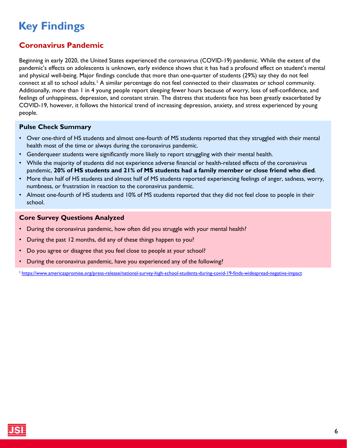### <span id="page-5-0"></span>**Coronavirus Pandemic**

Beginning in early 2020, the United States experienced the coronavirus (COVID-19) pandemic. While the extent of the pandemic's effects on adolescents is unknown, early evidence shows that it has had a profound effect on student's mental and physical well-being. Major findings conclude that more than one-quarter of students (29%) say they do not feel connect at all to school adults.<sup>1</sup> A similar percentage do not feel connected to their classmates or school community. Additionally, more than 1 in 4 young people report sleeping fewer hours because of worry, loss of self-confidence, and feelings of unhappiness, depression, and constant strain. The distress that students face has been greatly exacerbated by COVID-19, however, it follows the historical trend of increasing depression, anxiety, and stress experienced by young people.

#### **Pulse Check Summary**

- Over one-third of HS students and almost one-fourth of MS students reported that they struggled with their mental health most of the time or always during the coronavirus pandemic.
- Genderqueer students were significantly more likely to report struggling with their mental health.
- While the majority of students did not experience adverse financial or health-related effects of the coronavirus pandemic, **20% of HS students and 21% of MS students had a family member or close friend who died**.
- More than half of HS students and almost half of MS students reported experiencing feelings of anger, sadness, worry, numbness, or frustration in reaction to the coronavirus pandemic.
- Almost one-fourth of HS students and 10% of MS students reported that they did not feel close to people in their school.

#### **Core Survey Questions Analyzed**

- During the coronavirus pandemic, how often did you struggle with your mental health?
- During the past 12 months, did any of these things happen to you?
- Do you agree or disagree that you feel close to people at your school?
- During the coronavirus pandemic, have you experienced any of the following?

1<https://www.americaspromise.org/press-release/national-survey-high-school-students-during-covid-19-finds-widespread-negative-impact>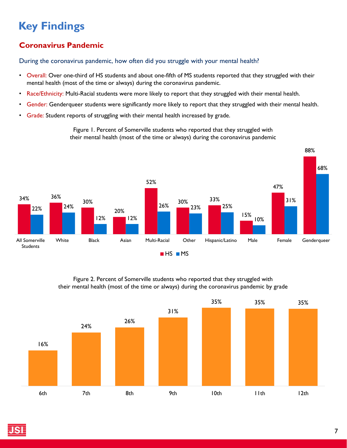### **Coronavirus Pandemic**

#### During the coronavirus pandemic, how often did you struggle with your mental health?

- Overall: Over one-third of HS students and about one-fifth of MS students reported that they struggled with their mental health (most of the time or always) during the coronavirus pandemic.
- Race/Ethnicity: Multi-Racial students were more likely to report that they struggled with their mental health.
- Gender: Genderqueer students were significantly more likely to report that they struggled with their mental health.
- Grade: Student reports of struggling with their mental health increased by grade.



Figure 1. Percent of Somerville students who reported that they struggled with their mental health (most of the time or always) during the coronavirus pandemic

#### Figure 2. Percent of Somerville students who reported that they struggled with their mental health (most of the time or always) during the coronavirus pandemic by grade

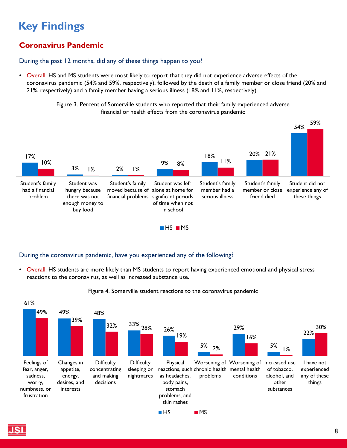### **Coronavirus Pandemic**

#### During the past 12 months, did any of these things happen to you?

• Overall: HS and MS students were most likely to report that they did not experience adverse effects of the coronavirus pandemic (54% and 59%, respectively), followed by the death of a family member or close friend (20% and 21%, respectively) and a family member having a serious illness (18% and 11%, respectively).

> Figure 3. Percent of Somerville students who reported that their family experienced adverse financial or health effects from the coronavirus pandemic



#### During the coronavirus pandemic, have you experienced any of the following?

• Overall: HS students are more likely than MS students to report having experienced emotional and physical stress reactions to the coronavirus, as well as increased substance use.



#### Figure 4. Somerville student reactions to the coronavirus pandemic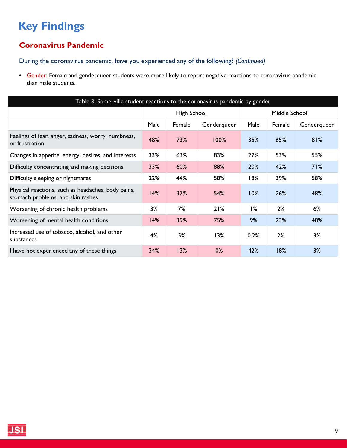### **Coronavirus Pandemic**

During the coronavirus pandemic, have you experienced any of the following? *(Continued)* 

• Gender: Female and genderqueer students were more likely to report negative reactions to coronavirus pandemic than male students.

| Table 3. Somerville student reactions to the coronavirus pandemic by gender             |             |        |             |               |        |             |
|-----------------------------------------------------------------------------------------|-------------|--------|-------------|---------------|--------|-------------|
|                                                                                         | High School |        |             | Middle School |        |             |
|                                                                                         | Male        | Female | Genderqueer | Male          | Female | Genderqueer |
| Feelings of fear, anger, sadness, worry, numbness,<br>or frustration                    | 48%         | 73%    | 100%        | 35%           | 65%    | 81%         |
| Changes in appetite, energy, desires, and interests                                     | 33%         | 63%    | 83%         | 27%           | 53%    | 55%         |
| Difficulty concentrating and making decisions                                           | 33%         | 60%    | 88%         | 20%           | 42%    | 71%         |
| Difficulty sleeping or nightmares                                                       | 22%         | 44%    | 58%         | 18%           | 39%    | 58%         |
| Physical reactions, such as headaches, body pains,<br>stomach problems, and skin rashes | 14%         | 37%    | 54%         | 10%           | 26%    | 48%         |
| Worsening of chronic health problems                                                    | 3%          | 7%     | 21%         | 1%            | 2%     | 6%          |
| Worsening of mental health conditions                                                   | 14%         | 39%    | 75%         | 9%            | 23%    | 48%         |
| Increased use of tobacco, alcohol, and other<br>substances                              | 4%          | 5%     | 13%         | 0.2%          | 2%     | 3%          |
| I have not experienced any of these things                                              | 34%         | 13%    | 0%          | 42%           | 18%    | 3%          |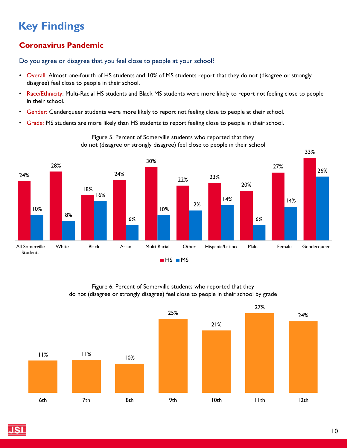### **Coronavirus Pandemic**

Do you agree or disagree that you feel close to people at your school?

- Overall: Almost one-fourth of HS students and 10% of MS students report that they do not (disagree or strongly disagree) feel close to people in their school.
- Race/Ethnicity: Multi-Racial HS students and Black MS students were more likely to report not feeling close to people in their school.
- Gender: Genderqueer students were more likely to report not feeling close to people at their school.
- Grade: MS students are more likely than HS students to report feeling close to people in their school.



Figure 5. Percent of Somerville students who reported that they do not (disagree or strongly disagree) feel close to people in their school

#### Figure 6. Percent of Somerville students who reported that they do not (disagree or strongly disagree) feel close to people in their school by grade

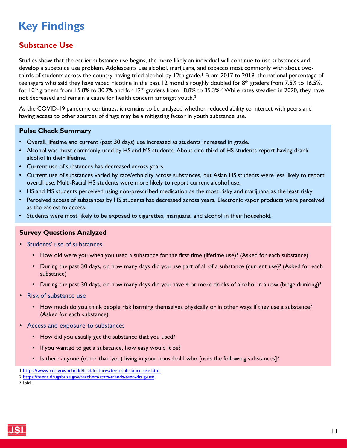#### <span id="page-10-0"></span>**Substance Use**

Studies show that the earlier substance use begins, the more likely an individual will continue to use substances and develop a substance use problem. Adolescents use alcohol, marijuana, and tobacco most commonly with about twothirds of students across the country having tried alcohol by 12th grade.<sup>1</sup> From 2017 to 2019, the national percentage of teenagers who said they have vaped nicotine in the past 12 months roughly doubled for  $8<sup>th</sup>$  graders from 7.5% to 16.5%, for  $10$ <sup>th</sup> graders from 15.8% to 30.7% and for  $12$ <sup>th</sup> graders from 18.8% to 35.3%.<sup>2</sup> While rates steadied in 2020, they have not decreased and remain a cause for health concern amongst youth.<sup>3</sup>

As the COVID-19 pandemic continues, it remains to be analyzed whether reduced ability to interact with peers and having access to other sources of drugs may be a mitigating factor in youth substance use.

#### **Pulse Check Summary**

- Overall, lifetime and current (past 30 days) use increased as students increased in grade.
- Alcohol was most commonly used by HS and MS students. About one-third of HS students report having drank alcohol in their lifetime.
- Current use of substances has decreased across years.
- Current use of substances varied by race/ethnicity across substances, but Asian HS students were less likely to report overall use. Multi-Racial HS students were more likely to report current alcohol use.
- HS and MS students perceived using non-prescribed medication as the most risky and marijuana as the least risky.
- Perceived access of substances by HS students has decreased across years. Electronic vapor products were perceived as the easiest to access.
- Students were most likely to be exposed to cigarettes, marijuana, and alcohol in their household.

#### **Survey Questions Analyzed**

- Students' use of substances
	- How old were you when you used a substance for the first time (lifetime use)? (Asked for each substance)
	- During the past 30 days, on how many days did you use part of all of a substance (current use)? (Asked for each substance)
	- During the past 30 days, on how many days did you have 4 or more drinks of alcohol in a row (binge drinking)?
- Risk of substance use
	- How much do you think people risk harming themselves physically or in other ways if they use a substance? (Asked for each substance)
- Access and exposure to substances
	- How did you usually get the substance that you used?
	- If you wanted to get a substance, how easy would it be?
	- Is there anyone (other than you) living in your household who [uses the following substances]?

3 Ibid.



<sup>1</sup> <https://www.cdc.gov/ncbddd/fasd/features/teen-substance-use.html>

<sup>2</sup> <https://teens.drugabuse.gov/teachers/stats-trends-teen-drug-use>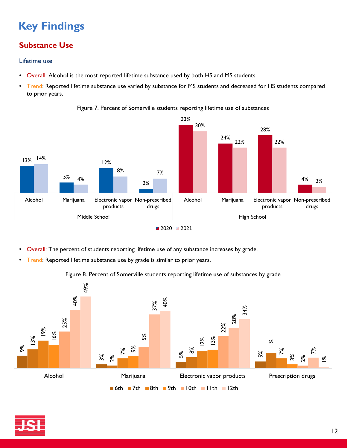### **Substance Use**

#### Lifetime use

- Overall: Alcohol is the most reported lifetime substance used by both HS and MS students.
- Trend: Reported lifetime substance use varied by substance for MS students and decreased for HS students compared to prior years.



Figure 7. Percent of Somerville students reporting lifetime use of substances

- Overall: The percent of students reporting lifetime use of any substance increases by grade.
- Trend: Reported lifetime substance use by grade is similar to prior years.

#### Figure 8. Percent of Somerville students reporting lifetime use of substances by grade



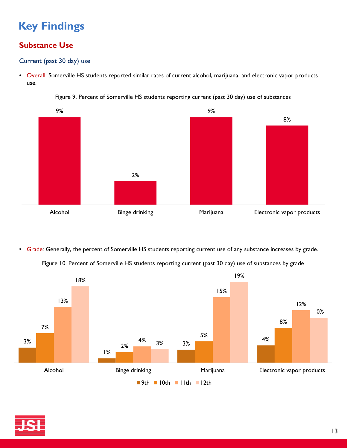### **Substance Use**

#### Current (past 30 day) use

• Overall: Somerville HS students reported similar rates of current alcohol, marijuana, and electronic vapor products use.



Figure 9. Percent of Somerville HS students reporting current (past 30 day) use of substances

• Grade: Generally, the percent of Somerville HS students reporting current use of any substance increases by grade.

Figure 10. Percent of Somerville HS students reporting current (past 30 day) use of substances by grade



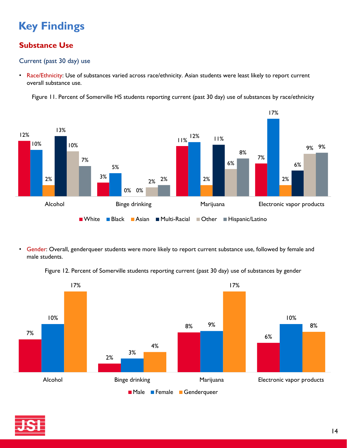### **Substance Use**

#### Current (past 30 day) use

• Race/Ethnicity: Use of substances varied across race/ethnicity. Asian students were least likely to report current overall substance use.

Figure 11. Percent of Somerville HS students reporting current (past 30 day) use of substances by race/ethnicity



• Gender: Overall, genderqueer students were more likely to report current substance use, followed by female and male students.

Figure 12. Percent of Somerville students reporting current (past 30 day) use of substances by gender



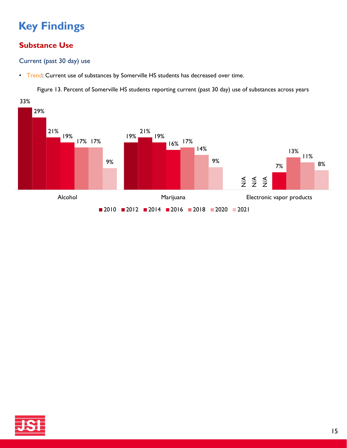### **Substance Use**

Current (past 30 day) use

• Trend: Current use of substances by Somerville HS students has decreased over time.

Figure 13. Percent of Somerville HS students reporting current (past 30 day) use of substances across years



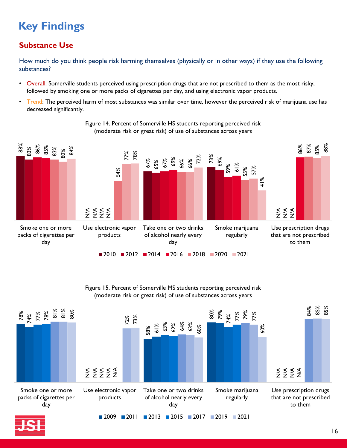### **Substance Use**

How much do you think people risk harming themselves (physically or in other ways) if they use the following substances?

- Overall: Somerville students perceived using prescription drugs that are not prescribed to them as the most risky, followed by smoking one or more packs of cigarettes per day, and using electronic vapor products.
- Trend: The perceived harm of most substances was similar over time, however the perceived risk of marijuana use has decreased significantly.







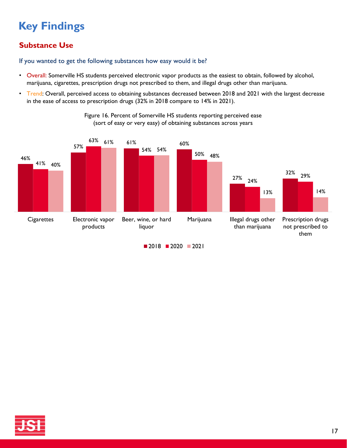### **Substance Use**

If you wanted to get the following substances how easy would it be?

- Overall: Somerville HS students perceived electronic vapor products as the easiest to obtain, followed by alcohol, marijuana, cigarettes, prescription drugs not prescribed to them, and illegal drugs other than marijuana.
- Trend: Overall, perceived access to obtaining substances decreased between 2018 and 2021 with the largest decrease in the ease of access to prescription drugs (32% in 2018 compare to 14% in 2021).

![](_page_16_Figure_5.jpeg)

Figure 16. Percent of Somerville HS students reporting perceived ease (sort of easy or very easy) of obtaining substances across years

![](_page_16_Picture_7.jpeg)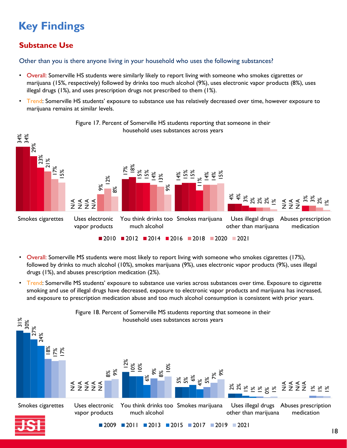### **Substance Use**

Other than you is there anyone living in your household who uses the following substances?

- Overall: Somerville HS students were similarly likely to report living with someone who smokes cigarettes or marijuana (15%, respectively) followed by drinks too much alcohol (9%), uses electronic vapor products (8%), uses illegal drugs (1%), and uses prescription drugs not prescribed to them (1%).
- Trend: Somerville HS students' exposure to substance use has relatively decreased over time, however exposure to marijuana remains at similar levels.

![](_page_17_Figure_5.jpeg)

Figure 17. Percent of Somerville HS students reporting that someone in their

- Overall: Somerville MS students were most likely to report living with someone who smokes cigarettes (17%), followed by drinks to much alcohol (10%), smokes marijuana (9%), uses electronic vapor products (9%), uses illegal drugs (1%), and abuses prescription medication (2%).
- Trend: Somerville MS students' exposure to substance use varies across substances over time. Exposure to cigarette smoking and use of illegal drugs have decreased, exposure to electronic vapor products and marijuana has increased, and exposure to prescription medication abuse and too much alcohol consumption is consistent with prior years.

![](_page_17_Figure_9.jpeg)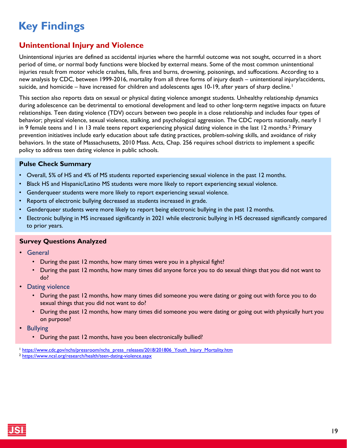#### <span id="page-18-0"></span>**Unintentional Injury and Violence**

Unintentional injuries are defined as accidental injuries where the harmful outcome was not sought, occurred in a short period of time, or normal body functions were blocked by external means. Some of the most common unintentional injuries result from motor vehicle crashes, falls, fires and burns, drowning, poisonings, and suffocations. According to a new analysis by CDC, between 1999-2016, mortality from all three forms of injury death – unintentional injury/accidents, suicide, and homicide – have increased for children and adolescents ages 10-19, after years of sharp decline.<sup>1</sup>

This section also reports data on sexual or physical dating violence amongst students. Unhealthy relationship dynamics during adolescence can be detrimental to emotional development and lead to other long-term negative impacts on future relationships. Teen dating violence (TDV) occurs between two people in a close relationship and includes four types of behavior; physical violence, sexual violence, stalking, and psychological aggression. The CDC reports nationally, nearly 1 in 9 female teens and 1 in 13 male teens report experiencing physical dating violence in the last 12 months.2 Primary prevention initiatives include early education about safe dating practices, problem-solving skills, and avoidance of risky behaviors. In the state of Massachusetts, 2010 Mass. Acts, Chap. 256 requires school districts to implement a specific policy to address teen dating violence in public schools.

#### **Pulse Check Summary**

- Overall, 5% of HS and 4% of MS students reported experiencing sexual violence in the past 12 months.
- Black HS and Hispanic/Latino MS students were more likely to report experiencing sexual violence.
- Genderqueer students were more likely to report experiencing sexual violence.
- Reports of electronic bullying decreased as students increased in grade.
- Genderqueer students were more likely to report being electronic bullying in the past 12 months.
- Electronic bullying in MS increased significantly in 2021 while electronic bullying in HS decreased significantly compared to prior years.

#### **Survey Questions Analyzed**

- General
	- During the past 12 months, how many times were you in a physical fight?
	- During the past 12 months, how many times did anyone force you to do sexual things that you did not want to do?
- **Dating violence** 
	- During the past 12 months, how many times did someone you were dating or going out with force you to do sexual things that you did not want to do?
	- During the past 12 months, how many times did someone you were dating or going out with physically hurt you on purpose?
- Bullying
	- During the past 12 months, have you been electronically bullied?

<sup>&</sup>lt;sup>1</sup> [https://www.cdc.gov/nchs/pressroom/nchs\\_press\\_releases/2018/201806\\_Youth\\_Injury\\_Mortality.htm](https://www.cdc.gov/nchs/pressroom/nchs_press_releases/2018/201806_Youth_Injury_Mortality.htm)

<sup>2</sup> <https://www.ncsl.org/research/health/teen-dating-violence.aspx>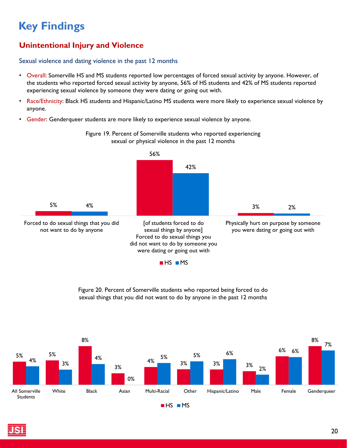### **Unintentional Injury and Violence**

#### Sexual violence and dating violence in the past 12 months

- Overall: Somerville HS and MS students reported low percentages of forced sexual activity by anyone. However, of the students who reported forced sexual activity by anyone, 56% of HS students and 42% of MS students reported experiencing sexual violence by someone they were dating or going out with.
- Race/Ethnicity: Black HS students and Hispanic/Latino MS students were more likely to experience sexual violence by anyone.
- Gender: Genderqueer students are more likely to experience sexual violence by anyone.

![](_page_19_Figure_6.jpeg)

Figure 19. Percent of Somerville students who reported experiencing sexual or physical violence in the past 12 months

Figure 20. Percent of Somerville students who reported being forced to do sexual things that you did not want to do by anyone in the past 12 months

![](_page_19_Figure_9.jpeg)

![](_page_19_Picture_10.jpeg)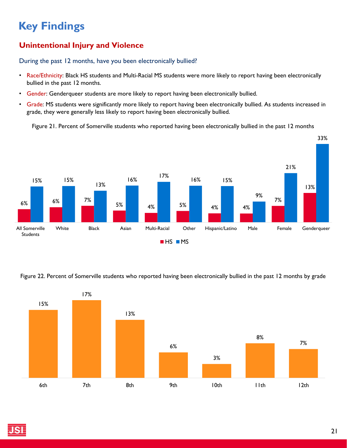### **Unintentional Injury and Violence**

During the past 12 months, have you been electronically bullied?

- Race/Ethnicity: Black HS students and Multi-Racial MS students were more likely to report having been electronically bullied in the past 12 months.
- Gender: Genderqueer students are more likely to report having been electronically bullied.
- Grade: MS students were significantly more likely to report having been electronically bullied. As students increased in grade, they were generally less likely to report having been electronically bullied.

Figure 21. Percent of Somerville students who reported having been electronically bullied in the past 12 months

![](_page_20_Figure_7.jpeg)

Figure 22. Percent of Somerville students who reported having been electronically bullied in the past 12 months by grade

![](_page_20_Figure_9.jpeg)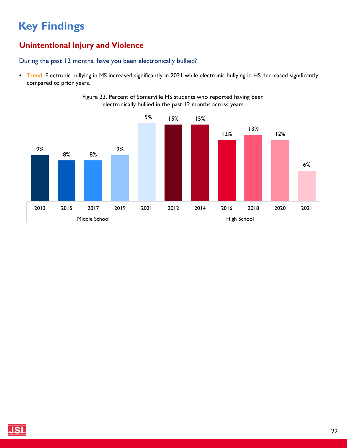### **Unintentional Injury and Violence**

During the past 12 months, have you been electronically bullied?

• Trend: Electronic bullying in MS increased significantly in 2021 while electronic bullying in HS decreased significantly compared to prior years.

![](_page_21_Figure_4.jpeg)

![](_page_21_Figure_5.jpeg)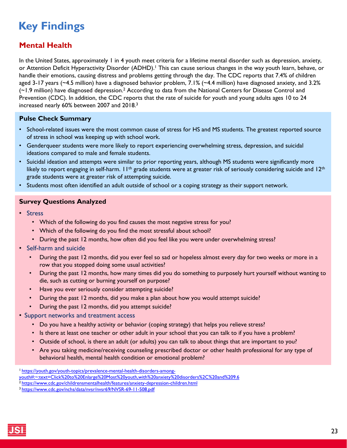### <span id="page-22-0"></span>**Mental Health**

In the United States, approximately 1 in 4 youth meet criteria for a lifetime mental disorder such as depression, anxiety, or Attention Deficit Hyperactivity Disorder (ADHD).<sup>1</sup> This can cause serious changes in the way youth learn, behave, or handle their emotions, causing distress and problems getting through the day. The CDC reports that 7.4% of children aged 3-17 years (~4.5 million) have a diagnosed behavior problem, 7.1% (~4.4 million) have diagnosed anxiety, and 3.2% (~1.9 million) have diagnosed depression.2 According to data from the National Centers for Disease Control and Prevention (CDC). In addition, the CDC reports that the rate of suicide for youth and young adults ages 10 to 24 increased nearly 60% between 2007 and 2018.3

#### **Pulse Check Summary**

- School-related issues were the most common cause of stress for HS and MS students. The greatest reported source of stress in school was keeping up with school work.
- Genderqueer students were more likely to report experiencing overwhelming stress, depression, and suicidal ideations compared to male and female students.
- Suicidal ideation and attempts were similar to prior reporting years, although MS students were significantly more likely to report engaging in self-harm.  $11^{th}$  grade students were at greater risk of seriously considering suicide and  $12^{th}$ grade students were at greater risk of attempting suicide.
- Students most often identified an adult outside of school or a coping strategy as their support network.

#### **Survey Questions Analyzed**

- Stress
	- Which of the following do you find causes the most negative stress for you?
	- Which of the following do you find the most stressful about school?
	- During the past 12 months, how often did you feel like you were under overwhelming stress?
- Self-harm and suicide
	- During the past 12 months, did you ever feel so sad or hopeless almost every day for two weeks or more in a row that you stopped doing some usual activities?
	- During the past 12 months, how many times did you do something to purposely hurt yourself without wanting to die, such as cutting or burning yourself on purpose?
	- Have you ever seriously consider attempting suicide?
	- During the past 12 months, did you make a plan about how you would attempt suicide?
	- During the past 12 months, did you attempt suicide?
- Support networks and treatment access
	- Do you have a healthy activity or behavior (coping strategy) that helps you relieve stress?
	- Is there at least one teacher or other adult in your school that you can talk to if you have a problem?
	- Outside of school, is there an adult (or adults) you can talk to about things that are important to you?
	- Are you taking medicine/receiving counseling prescribed doctor or other health professional for any type of behavioral health, mental health condition or emotional problem?

<sup>1</sup> https://youth.gov/youth-topics/prevalence-mental-health-disorders-among[youth#:~:text=Click%20to%20Enlarge%20Most%20youth,with%20anxiety%20disorders%2C%20and%209.6](https://www.cdc.gov/childrensmentalhealth/features/anxiety-depression-children.html)

<sup>2</sup><https://www.cdc.gov/childrensmentalhealth/features/anxiety-depression-children.html>

<sup>3</sup><https://www.cdc.gov/nchs/data/nvsr/nvsr69/NVSR-69-11-508.pdf>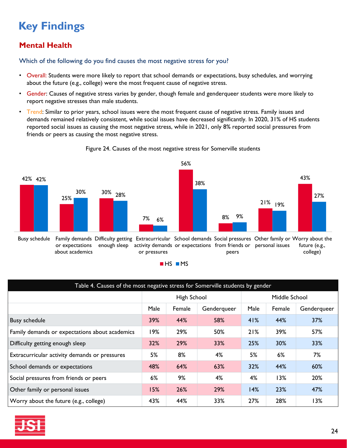### **Mental Health**

Which of the following do you find causes the most negative stress for you?

- Overall: Students were more likely to report that school demands or expectations, busy schedules, and worrying about the future (e.g., college) were the most frequent cause of negative stress.
- Gender: Causes of negative stress varies by gender, though female and genderqueer students were more likely to report negative stresses than male students.
- Trend: Similar to prior years, school issues were the most frequent cause of negative stress. Family issues and demands remained relatively consistent, while social issues have decreased significantly. In 2020, 31% of HS students reported social issues as causing the most negative stress, while in 2021, only 8% reported social pressures from friends or peers as causing the most negative stress.

![](_page_23_Figure_6.jpeg)

Figure 24. Causes of the most negative stress for Somerville students

| Table 4. Causes of the most negative stress for Somerville students by gender |             |        |             |               |        |             |  |
|-------------------------------------------------------------------------------|-------------|--------|-------------|---------------|--------|-------------|--|
|                                                                               | High School |        |             | Middle School |        |             |  |
|                                                                               | Male        | Female | Genderqueer | Male          | Female | Genderqueer |  |
| <b>Busy schedule</b>                                                          | 39%         | 44%    | 58%         | 41%           | 44%    | 37%         |  |
| Family demands or expectations about academics                                | 19%         | 29%    | 50%         | 21%           | 39%    | 57%         |  |
| Difficulty getting enough sleep                                               | 32%         | 29%    | 33%         | 25%           | 30%    | 33%         |  |
| Extracurricular activity demands or pressures                                 | 5%          | 8%     | 4%          | 5%            | 6%     | 7%          |  |
| School demands or expectations                                                | 48%         | 64%    | 63%         | 32%           | 44%    | 60%         |  |
| Social pressures from friends or peers                                        | 6%          | 9%     | 4%          | 4%            | 13%    | 20%         |  |
| Other family or personal issues                                               | 15%         | 26%    | 29%         | 14%           | 23%    | 47%         |  |
| Worry about the future (e.g., college)                                        | 43%         | 44%    | 33%         | 27%           | 28%    | 13%         |  |

![](_page_23_Picture_9.jpeg)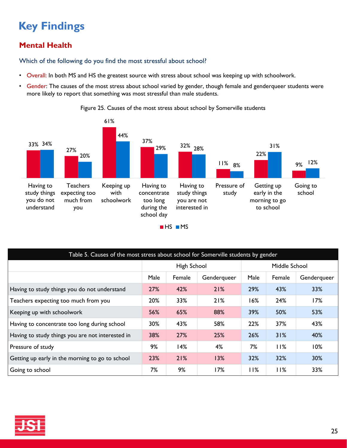### **Mental Health**

Which of the following do you find the most stressful about school?

- Overall: In both MS and HS the greatest source with stress about school was keeping up with schoolwork.
- Gender: The causes of the most stress about school varied by gender, though female and genderqueer students were more likely to report that something was most stressful than male students.

![](_page_24_Figure_5.jpeg)

Figure 25. Causes of the most stress about school by Somerville students

| Table 5. Causes of the most stress about school for Somerville students by gender |             |        |             |               |        |             |  |
|-----------------------------------------------------------------------------------|-------------|--------|-------------|---------------|--------|-------------|--|
|                                                                                   | High School |        |             | Middle School |        |             |  |
|                                                                                   | Male        | Female | Genderqueer | Male          | Female | Genderqueer |  |
| Having to study things you do not understand                                      | 27%         | 42%    | 21%         | 29%           | 43%    | 33%         |  |
| Teachers expecting too much from you                                              | 20%         | 33%    | 21%         | 16%           | 24%    | 17%         |  |
| Keeping up with schoolwork                                                        | 56%         | 65%    | 88%         | 39%           | 50%    | 53%         |  |
| Having to concentrate too long during school                                      | 30%         | 43%    | 58%         | 22%           | 37%    | 43%         |  |
| Having to study things you are not interested in                                  | 38%         | 27%    | 25%         | 26%           | 31%    | 40%         |  |
| Pressure of study                                                                 | 9%          | 14%    | 4%          | 7%            | 11%    | 10%         |  |
| Getting up early in the morning to go to school                                   | 23%         | 21%    | 13%         | 32%           | 32%    | 30%         |  |
| Going to school                                                                   | 7%          | 9%     | 17%         | 11%           | I I%   | 33%         |  |

![](_page_24_Picture_8.jpeg)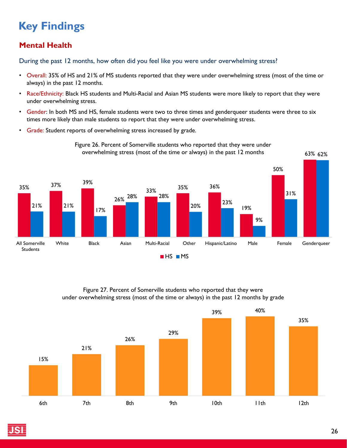### **Mental Health**

During the past 12 months, how often did you feel like you were under overwhelming stress?

- Overall: 35% of HS and 21% of MS students reported that they were under overwhelming stress (most of the time or always) in the past 12 months.
- Race/Ethnicity: Black HS students and Multi-Racial and Asian MS students were more likely to report that they were under overwhelming stress.
- Gender: In both MS and HS, female students were two to three times and genderqueer students were three to six times more likely than male students to report that they were under overwhelming stress.

Figure 26. Percent of Somerville students who reported that they were under

• Grade: Student reports of overwhelming stress increased by grade.

![](_page_25_Figure_7.jpeg)

#### Figure 27. Percent of Somerville students who reported that they were under overwhelming stress (most of the time or always) in the past 12 months by grade

![](_page_25_Figure_9.jpeg)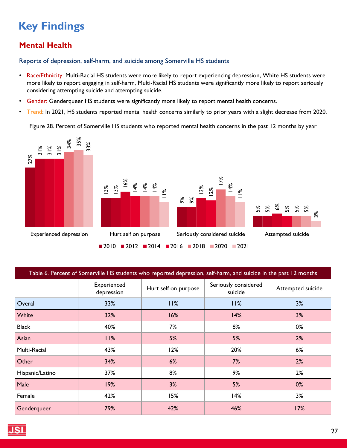### **Mental Health**

Reports of depression, self-harm, and suicide among Somerville HS students

- Race/Ethnicity: Multi-Racial HS students were more likely to report experiencing depression, White HS students were more likely to report engaging in self-harm, Multi-Racial HS students were significantly more likely to report seriously considering attempting suicide and attempting suicide.
- Gender: Genderqueer HS students were significantly more likely to report mental health concerns.
- Trend: In 2021, HS students reported mental health concerns similarly to prior years with a slight decrease from 2020.

Figure 28. Percent of Somerville HS students who reported mental health concerns in the past 12 months by year

![](_page_26_Figure_7.jpeg)

| Table 6. Percent of Somerville HS students who reported depression, self-harm, and suicide in the past 12 months |                           |                                                         |     |                   |  |  |  |
|------------------------------------------------------------------------------------------------------------------|---------------------------|---------------------------------------------------------|-----|-------------------|--|--|--|
|                                                                                                                  | Experienced<br>depression | Seriously considered<br>Hurt self on purpose<br>suicide |     | Attempted suicide |  |  |  |
| Overall                                                                                                          | 33%                       | 11%                                                     | 11% | 3%                |  |  |  |
| White                                                                                                            | 32%                       | 16%                                                     | 14% | 3%                |  |  |  |
| <b>Black</b>                                                                                                     | 40%                       | 7%                                                      | 8%  | 0%                |  |  |  |
| Asian                                                                                                            | 11%                       | 5%                                                      | 5%  | 2%                |  |  |  |
| Multi-Racial                                                                                                     | 43%                       | 12%                                                     | 20% | 6%                |  |  |  |
| Other                                                                                                            | 34%                       | 6%                                                      | 7%  | 2%                |  |  |  |
| Hispanic/Latino                                                                                                  | 37%                       | 8%                                                      | 9%  | 2%                |  |  |  |
| Male                                                                                                             | 19%                       | 3%                                                      | 5%  | $0\%$             |  |  |  |
| Female                                                                                                           | 42%                       | 15%                                                     | 14% | 3%                |  |  |  |
| Genderqueer                                                                                                      | 79%                       | 42%                                                     | 46% | 17%               |  |  |  |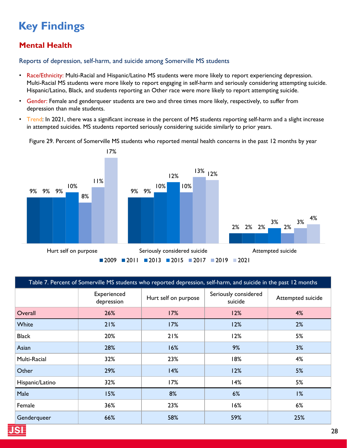### **Mental Health**

Reports of depression, self-harm, and suicide among Somerville MS students

- Race/Ethnicity: Multi-Racial and Hispanic/Latino MS students were more likely to report experiencing depression. Multi-Racial MS students were more likely to report engaging in self-harm and seriously considering attempting suicide. Hispanic/Latino, Black, and students reporting an Other race were more likely to report attempting suicide.
- Gender: Female and genderqueer students are two and three times more likely, respectively, to suffer from depression than male students.
- Trend: In 2021, there was a significant increase in the percent of MS students reporting self-harm and a slight increase in attempted suicides. MS students reported seriously considering suicide similarly to prior years.

Figure 29. Percent of Somerville MS students who reported mental health concerns in the past 12 months by year

![](_page_27_Figure_7.jpeg)

| Table 7. Percent of Somerville MS students who reported depression, self-harm, and suicide in the past 12 months |                           |                                                         |     |                   |  |  |  |
|------------------------------------------------------------------------------------------------------------------|---------------------------|---------------------------------------------------------|-----|-------------------|--|--|--|
|                                                                                                                  | Experienced<br>depression | Seriously considered<br>Hurt self on purpose<br>suicide |     | Attempted suicide |  |  |  |
| Overall                                                                                                          | 26%                       | 17%                                                     | 12% | 4%                |  |  |  |
| White                                                                                                            | 21%                       | 17%                                                     | 12% | 2%                |  |  |  |
| <b>Black</b>                                                                                                     | 20%                       | 21%                                                     | 12% | 5%                |  |  |  |
| Asian                                                                                                            | 28%                       | 16%                                                     | 9%  | 3%                |  |  |  |
| Multi-Racial                                                                                                     | 32%                       | 23%                                                     | 18% | 4%                |  |  |  |
| Other                                                                                                            | 29%                       | 14%                                                     | 12% | 5%                |  |  |  |
| Hispanic/Latino                                                                                                  | 32%                       | 17%                                                     | 14% | 5%                |  |  |  |
| Male                                                                                                             | 15%                       | 8%                                                      | 6%  | 1%                |  |  |  |
| Female                                                                                                           | 36%                       | 23%                                                     | 16% | 6%                |  |  |  |
| Genderqueer                                                                                                      | 66%                       | 58%                                                     | 59% | 25%               |  |  |  |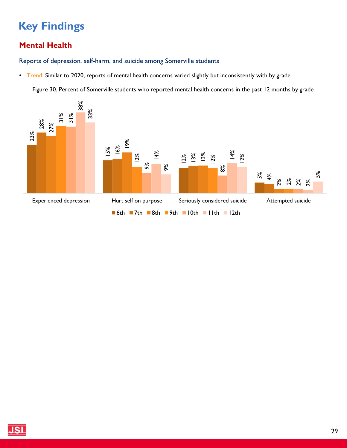### **Mental Health**

Reports of depression, self-harm, and suicide among Somerville students

• Trend: Similar to 2020, reports of mental health concerns varied slightly but inconsistently with by grade.

Figure 30. Percent of Somerville students who reported mental health concerns in the past 12 months by grade

![](_page_28_Figure_5.jpeg)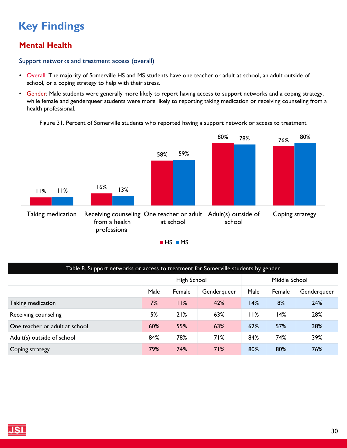### **Mental Health**

#### Support networks and treatment access (overall)

- Overall: The majority of Somerville HS and MS students have one teacher or adult at school, an adult outside of school, or a coping strategy to help with their stress.
- Gender: Male students were generally more likely to report having access to support networks and a coping strategy, while female and genderqueer students were more likely to reporting taking medication or receiving counseling from a health professional.

Figure 31. Percent of Somerville students who reported having a support network or access to treatment

![](_page_29_Figure_6.jpeg)

 $HSS$   $MS$ 

| Table 8. Support networks or access to treatment for Somerville students by gender |                                       |     |     |     |               |             |
|------------------------------------------------------------------------------------|---------------------------------------|-----|-----|-----|---------------|-------------|
|                                                                                    | High School                           |     |     |     | Middle School |             |
|                                                                                    | Male<br>Male<br>Female<br>Genderqueer |     |     |     | Female        | Genderqueer |
| Taking medication                                                                  | 7%                                    | 11% | 42% | 14% | 8%            | 24%         |
| Receiving counseling                                                               | 5%                                    | 21% | 63% | 11% | 14%           | 28%         |
| One teacher or adult at school                                                     | 60%                                   | 55% | 63% | 62% | 57%           | 38%         |
| Adult(s) outside of school                                                         | 84%                                   | 78% | 71% | 84% | 74%           | 39%         |
| Coping strategy                                                                    | 79%                                   | 74% | 71% | 80% | 80%           | 76%         |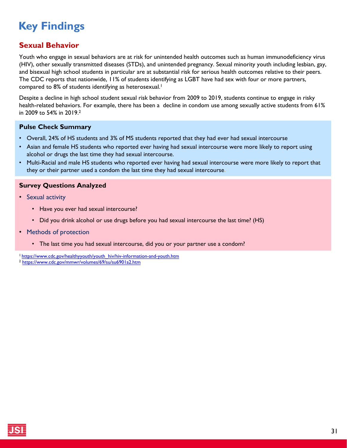#### <span id="page-30-0"></span>**Sexual Behavior**

Youth who engage in sexual behaviors are at risk for unintended health outcomes such as human immunodeficiency virus (HIV), other sexually transmitted diseases (STDs), and unintended pregnancy. Sexual minority youth including lesbian, gay, and bisexual high school students in particular are at substantial risk for serious health outcomes relative to their peers. The CDC reports that nationwide, 11% of students identifying as LGBT have had sex with four or more partners, compared to 8% of students identifying as heterosexual.<sup>1</sup>

Despite a decline in high school student sexual risk behavior from 2009 to 2019, students continue to engage in risky health-related behaviors. For example, there has been a decline in condom use among sexually active students from 61% in 2009 to 54% in 2019.<sup>2</sup>

#### **Pulse Check Summary**

- Overall, 24% of HS students and 3% of MS students reported that they had ever had sexual intercourse
- Asian and female HS students who reported ever having had sexual intercourse were more likely to report using alcohol or drugs the last time they had sexual intercourse.
- Multi-Racial and male HS students who reported ever having had sexual intercourse were more likely to report that they or their partner used a condom the last time they had sexual intercourse.

#### **Survey Questions Analyzed**

- Sexual activity
	- Have you ever had sexual intercourse?
	- Did you drink alcohol or use drugs before you had sexual intercourse the last time? (HS)
- Methods of protection
	- The last time you had sexual intercourse, did you or your partner use a condom?

1 [https://www.cdc.gov/healthyyouth/youth\\_hiv/hiv-information-and-youth.htm](https://www.cdc.gov/healthyyouth/youth_hiv/hiv-information-and-youth.htm)

<sup>2</sup> <https://www.cdc.gov/mmwr/volumes/69/su/su6901a2.htm>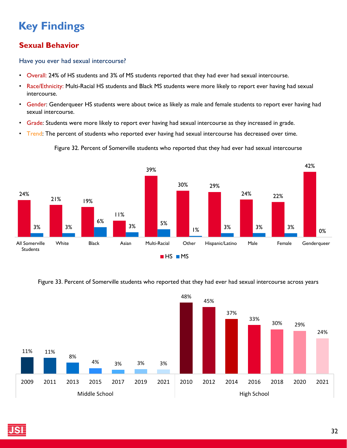### **Sexual Behavior**

Have you ever had sexual intercourse?

- Overall: 24% of HS students and 3% of MS students reported that they had ever had sexual intercourse.
- Race/Ethnicity: Multi-Racial HS students and Black MS students were more likely to report ever having had sexual intercourse.
- Gender: Genderqueer HS students were about twice as likely as male and female students to report ever having had sexual intercourse.
- Grade: Students were more likely to report ever having had sexual intercourse as they increased in grade.
- Trend: The percent of students who reported ever having had sexual intercourse has decreased over time.

Figure 32. Percent of Somerville students who reported that they had ever had sexual intercourse

![](_page_31_Figure_9.jpeg)

#### Figure 33. Percent of Somerville students who reported that they had ever had sexual intercourse across years

![](_page_31_Figure_11.jpeg)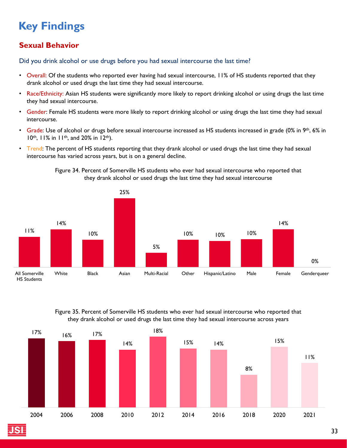### **Sexual Behavior**

Did you drink alcohol or use drugs before you had sexual intercourse the last time?

- Overall: Of the students who reported ever having had sexual intercourse, 11% of HS students reported that they drank alcohol or used drugs the last time they had sexual intercourse.
- Race/Ethnicity: Asian HS students were significantly more likely to report drinking alcohol or using drugs the last time they had sexual intercourse.
- Gender: Female HS students were more likely to report drinking alcohol or using drugs the last time they had sexual intercourse.
- Grade: Use of alcohol or drugs before sexual intercourse increased as HS students increased in grade (0% in 9<sup>th</sup>, 6% in 10<sup>th</sup>, 11% in 11<sup>th</sup>, and 20% in 12<sup>th</sup>).
- Trend: The percent of HS students reporting that they drank alcohol or used drugs the last time they had sexual intercourse has varied across years, but is on a general decline.

![](_page_32_Figure_8.jpeg)

Figure 34. Percent of Somerville HS students who ever had sexual intercourse who reported that they drank alcohol or used drugs the last time they had sexual intercourse

Figure 35. Percent of Somerville HS students who ever had sexual intercourse who reported that they drank alcohol or used drugs the last time they had sexual intercourse across years

![](_page_32_Figure_11.jpeg)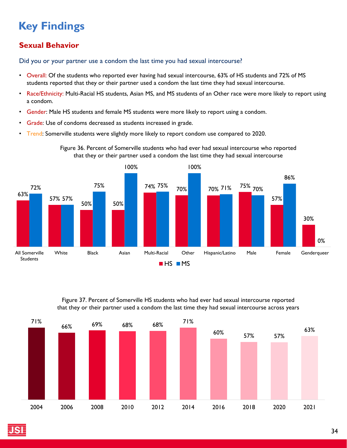### **Sexual Behavior**

Did you or your partner use a condom the last time you had sexual intercourse?

- Overall: Of the students who reported ever having had sexual intercourse, 63% of HS students and 72% of MS students reported that they or their partner used a condom the last time they had sexual intercourse.
- Race/Ethnicity: Multi-Racial HS students, Asian MS, and MS students of an Other race were more likely to report using a condom.
- Gender: Male HS students and female MS students were more likely to report using a condom.
- Grade: Use of condoms decreased as students increased in grade.
- Trend: Somerville students were slightly more likely to report condom use compared to 2020.

![](_page_33_Figure_8.jpeg)

![](_page_33_Figure_9.jpeg)

Figure 37. Percent of Somerville HS students who had ever had sexual intercourse reported that they or their partner used a condom the last time they had sexual intercourse across years

![](_page_33_Figure_11.jpeg)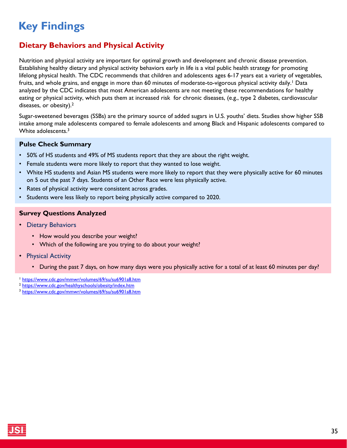### <span id="page-34-0"></span>**Dietary Behaviors and Physical Activity**

Nutrition and physical activity are important for optimal growth and development and chronic disease prevention. Establishing healthy dietary and physical activity behaviors early in life is a vital public health strategy for promoting lifelong physical health. The CDC recommends that children and adolescents ages 6-17 years eat a variety of vegetables, fruits, and whole grains, and engage in more than 60 minutes of moderate-to-vigorous physical activity daily.<sup>1</sup> Data analyzed by the CDC indicates that most American adolescents are not meeting these recommendations for healthy eating or physical activity, which puts them at increased risk for chronic diseases, (e.g., type 2 diabetes, cardiovascular diseases, or obesity).2

Sugar-sweetened beverages (SSBs) are the primary source of added sugars in U.S. youths' diets. Studies show higher SSB intake among male adolescents compared to female adolescents and among Black and Hispanic adolescents compared to White adolescents.3

#### **Pulse Check Summary**

- 50% of HS students and 49% of MS students report that they are about the right weight.
- Female students were more likely to report that they wanted to lose weight.
- White HS students and Asian MS students were more likely to report that they were physically active for 60 minutes on 5 out the past 7 days. Students of an Other Race were less physically active.
- Rates of physical activity were consistent across grades.
- Students were less likely to report being physically active compared to 2020.

#### **Survey Questions Analyzed**

- Dietary Behaviors
	- How would you describe your weight?
	- Which of the following are you trying to do about your weight?
- Physical Activity
	- During the past 7 days, on how many days were you physically active for a total of at least 60 minutes per day?
- <sup>1</sup> <https://www.cdc.gov/mmwr/volumes/69/su/su6901a8.htm>
- <sup>2</sup> <https://www.cdc.gov/healthyschools/obesity/index.htm>
- <sup>3</sup> <https://www.cdc.gov/mmwr/volumes/69/su/su6901a8.htm>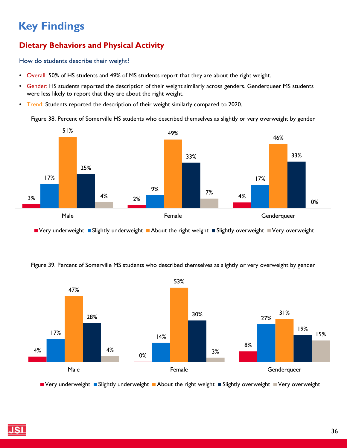### **Dietary Behaviors and Physical Activity**

How do students describe their weight?

- Overall: 50% of HS students and 49% of MS students report that they are about the right weight.
- Gender: HS students reported the description of their weight similarly across genders. Genderqueer MS students were less likely to report that they are about the right weight.
- Trend: Students reported the description of their weight similarly compared to 2020.

Figure 38. Percent of Somerville HS students who described themselves as slightly or very overweight by gender

![](_page_35_Figure_7.jpeg)

■ Very underweight ■ Slightly underweight ■ About the right weight ■ Slightly overweight ■ Very overweight

Figure 39. Percent of Somerville MS students who described themselves as slightly or very overweight by gender

![](_page_35_Figure_10.jpeg)

 $\blacksquare$  Very underweight  $\blacksquare$  Slightly underweight  $\blacksquare$  About the right weight  $\blacksquare$  Slightly overweight  $\blacksquare$  Very overweight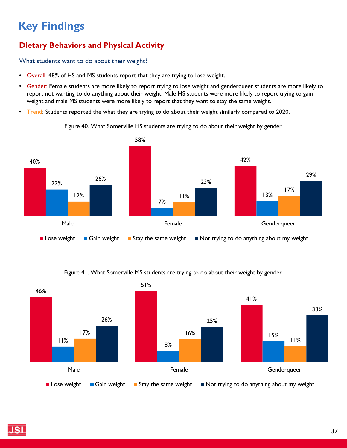### **Dietary Behaviors and Physical Activity**

What students want to do about their weight?

- Overall: 48% of HS and MS students report that they are trying to lose weight.
- Gender: Female students are more likely to report trying to lose weight and genderqueer students are more likely to report not wanting to do anything about their weight. Male HS students were more likely to report trying to gain weight and male MS students were more likely to report that they want to stay the same weight.
- Trend: Students reported the what they are trying to do about their weight similarly compared to 2020.

![](_page_36_Figure_6.jpeg)

Figure 40. What Somerville HS students are trying to do about their weight by gender

#### Figure 41. What Somerville MS students are trying to do about their weight by gender

![](_page_36_Figure_9.jpeg)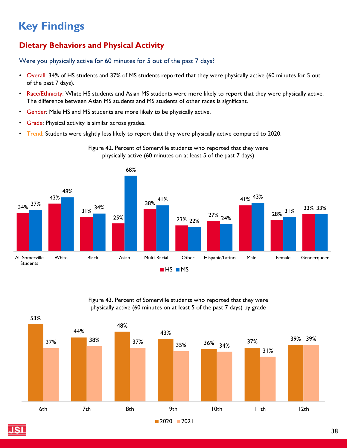### **Dietary Behaviors and Physical Activity**

Were you physically active for 60 minutes for 5 out of the past 7 days?

- Overall: 34% of HS students and 37% of MS students reported that they were physically active (60 minutes for 5 out of the past 7 days).
- Race/Ethnicity: White HS students and Asian MS students were more likely to report that they were physically active. The difference between Asian MS students and MS students of other races is significant.

Figure 42. Percent of Somerville students who reported that they were

- Gender: Male HS and MS students are more likely to be physically active.
- Grade: Physical activity is similar across grades.
- Trend: Students were slightly less likely to report that they were physically active compared to 2020.

![](_page_37_Figure_8.jpeg)

![](_page_37_Figure_9.jpeg)

Figure 43. Percent of Somerville students who reported that they were physically active (60 minutes on at least 5 of the past 7 days) by grade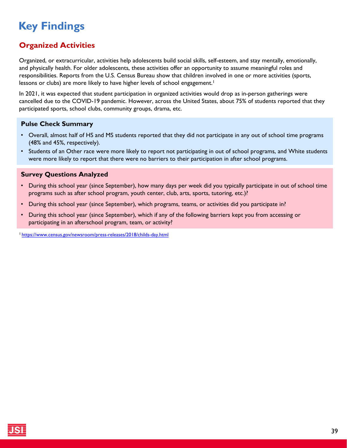### <span id="page-38-0"></span>**Organized Activities**

Organized, or extracurricular, activities help adolescents build social skills, self-esteem, and stay mentally, emotionally, and physically health. For older adolescents, these activities offer an opportunity to assume meaningful roles and responsibilities. Reports from the U.S. Census Bureau show that children involved in one or more activities (sports, lessons or clubs) are more likely to have higher levels of school engagement.<sup>1</sup>

In 2021, it was expected that student participation in organized activities would drop as in-person gatherings were cancelled due to the COVID-19 pandemic. However, across the United States, about 75% of students reported that they participated sports, school clubs, community groups, drama, etc.

#### **Pulse Check Summary**

- Overall, almost half of HS and MS students reported that they did not participate in any out of school time programs (48% and 45%, respectively).
- Students of an Other race were more likely to report not participating in out of school programs, and White students were more likely to report that there were no barriers to their participation in after school programs.

#### **Survey Questions Analyzed**

- During this school year (since September), how many days per week did you typically participate in out of school time programs such as after school program, youth center, club, arts, sports, tutoring, etc.)?
- During this school year (since September), which programs, teams, or activities did you participate in?
- During this school year (since September), which if any of the following barriers kept you from accessing or participating in an afterschool program, team, or activity?

1<https://www.census.gov/newsroom/press-releases/2018/childs-day.html>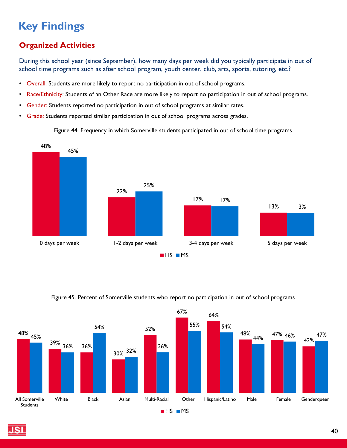### **Organized Activities**

During this school year (since September), how many days per week did you typically participate in out of school time programs such as after school program, youth center, club, arts, sports, tutoring, etc.?

- Overall: Students are more likely to report no participation in out of school programs.
- Race/Ethnicity: Students of an Other Race are more likely to report no participation in out of school programs.
- Gender: Students reported no participation in out of school programs at similar rates.
- Grade: Students reported similar participation in out of school programs across grades.

Figure 44. Frequency in which Somerville students participated in out of school time programs

![](_page_39_Figure_8.jpeg)

![](_page_39_Figure_9.jpeg)

#### Figure 45. Percent of Somerville students who report no participation in out of school programs